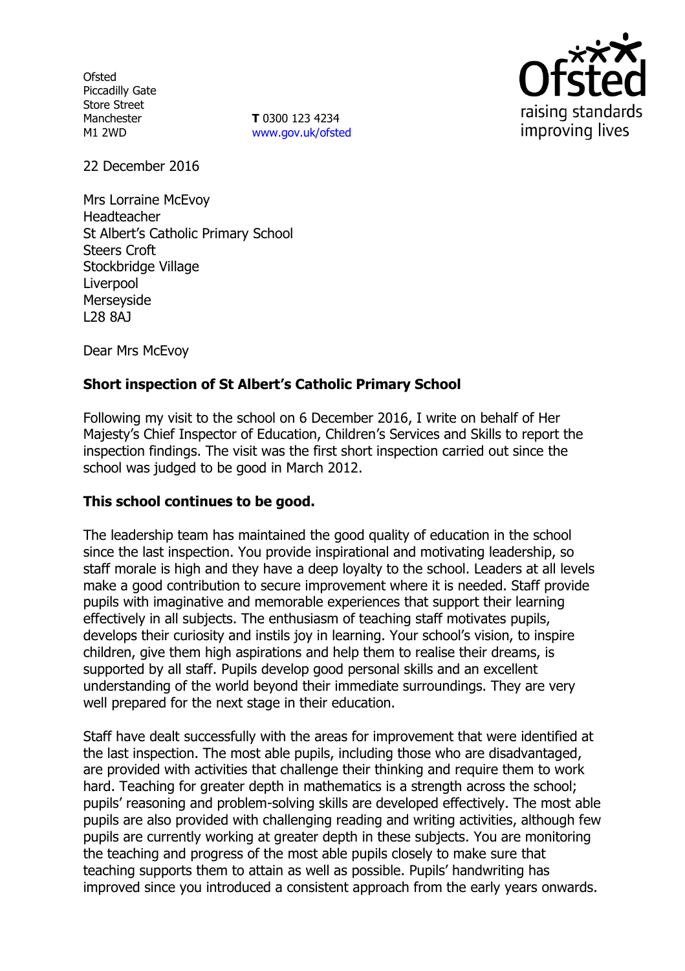**Ofsted** Piccadilly Gate Store Street Manchester M1 2WD

**T** 0300 123 4234 www.gov.uk/ofsted



22 December 2016

Mrs Lorraine McEvoy Headteacher St Albert's Catholic Primary School Steers Croft Stockbridge Village Liverpool Merseyside L28 8AJ

Dear Mrs McEvoy

# **Short inspection of St Albert's Catholic Primary School**

Following my visit to the school on 6 December 2016, I write on behalf of Her Majesty's Chief Inspector of Education, Children's Services and Skills to report the inspection findings. The visit was the first short inspection carried out since the school was judged to be good in March 2012.

### **This school continues to be good.**

The leadership team has maintained the good quality of education in the school since the last inspection. You provide inspirational and motivating leadership, so staff morale is high and they have a deep loyalty to the school. Leaders at all levels make a good contribution to secure improvement where it is needed. Staff provide pupils with imaginative and memorable experiences that support their learning effectively in all subjects. The enthusiasm of teaching staff motivates pupils, develops their curiosity and instils joy in learning. Your school's vision, to inspire children, give them high aspirations and help them to realise their dreams, is supported by all staff. Pupils develop good personal skills and an excellent understanding of the world beyond their immediate surroundings. They are very well prepared for the next stage in their education.

Staff have dealt successfully with the areas for improvement that were identified at the last inspection. The most able pupils, including those who are disadvantaged, are provided with activities that challenge their thinking and require them to work hard. Teaching for greater depth in mathematics is a strength across the school; pupils' reasoning and problem-solving skills are developed effectively. The most able pupils are also provided with challenging reading and writing activities, although few pupils are currently working at greater depth in these subjects. You are monitoring the teaching and progress of the most able pupils closely to make sure that teaching supports them to attain as well as possible. Pupils' handwriting has improved since you introduced a consistent approach from the early years onwards.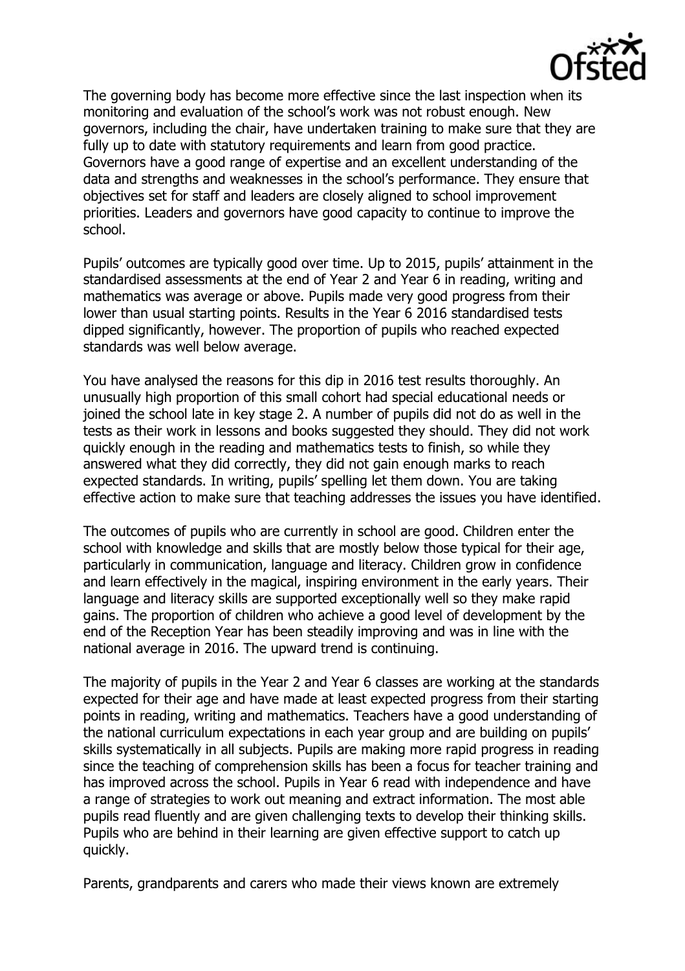

The governing body has become more effective since the last inspection when its monitoring and evaluation of the school's work was not robust enough. New governors, including the chair, have undertaken training to make sure that they are fully up to date with statutory requirements and learn from good practice. Governors have a good range of expertise and an excellent understanding of the data and strengths and weaknesses in the school's performance. They ensure that objectives set for staff and leaders are closely aligned to school improvement priorities. Leaders and governors have good capacity to continue to improve the school.

Pupils' outcomes are typically good over time. Up to 2015, pupils' attainment in the standardised assessments at the end of Year 2 and Year 6 in reading, writing and mathematics was average or above. Pupils made very good progress from their lower than usual starting points. Results in the Year 6 2016 standardised tests dipped significantly, however. The proportion of pupils who reached expected standards was well below average.

You have analysed the reasons for this dip in 2016 test results thoroughly. An unusually high proportion of this small cohort had special educational needs or joined the school late in key stage 2. A number of pupils did not do as well in the tests as their work in lessons and books suggested they should. They did not work quickly enough in the reading and mathematics tests to finish, so while they answered what they did correctly, they did not gain enough marks to reach expected standards. In writing, pupils' spelling let them down. You are taking effective action to make sure that teaching addresses the issues you have identified.

The outcomes of pupils who are currently in school are good. Children enter the school with knowledge and skills that are mostly below those typical for their age, particularly in communication, language and literacy. Children grow in confidence and learn effectively in the magical, inspiring environment in the early years. Their language and literacy skills are supported exceptionally well so they make rapid gains. The proportion of children who achieve a good level of development by the end of the Reception Year has been steadily improving and was in line with the national average in 2016. The upward trend is continuing.

The majority of pupils in the Year 2 and Year 6 classes are working at the standards expected for their age and have made at least expected progress from their starting points in reading, writing and mathematics. Teachers have a good understanding of the national curriculum expectations in each year group and are building on pupils' skills systematically in all subjects. Pupils are making more rapid progress in reading since the teaching of comprehension skills has been a focus for teacher training and has improved across the school. Pupils in Year 6 read with independence and have a range of strategies to work out meaning and extract information. The most able pupils read fluently and are given challenging texts to develop their thinking skills. Pupils who are behind in their learning are given effective support to catch up quickly.

Parents, grandparents and carers who made their views known are extremely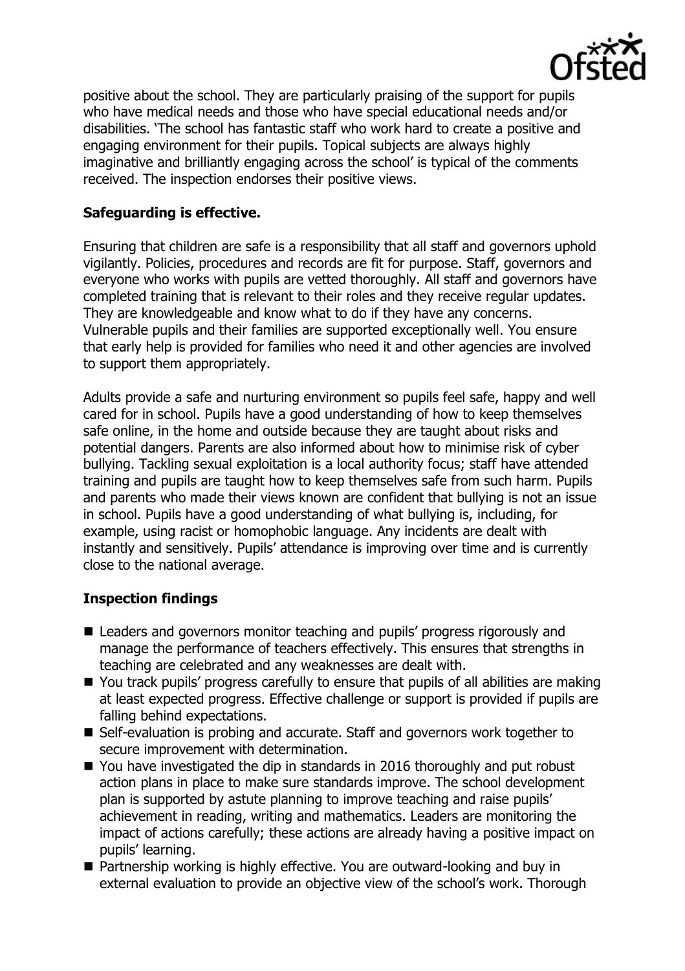

positive about the school. They are particularly praising of the support for pupils who have medical needs and those who have special educational needs and/or disabilities. 'The school has fantastic staff who work hard to create a positive and engaging environment for their pupils. Topical subjects are always highly imaginative and brilliantly engaging across the school' is typical of the comments received. The inspection endorses their positive views.

# **Safeguarding is effective.**

Ensuring that children are safe is a responsibility that all staff and governors uphold vigilantly. Policies, procedures and records are fit for purpose. Staff, governors and everyone who works with pupils are vetted thoroughly. All staff and governors have completed training that is relevant to their roles and they receive regular updates. They are knowledgeable and know what to do if they have any concerns. Vulnerable pupils and their families are supported exceptionally well. You ensure that early help is provided for families who need it and other agencies are involved to support them appropriately.

Adults provide a safe and nurturing environment so pupils feel safe, happy and well cared for in school. Pupils have a good understanding of how to keep themselves safe online, in the home and outside because they are taught about risks and potential dangers. Parents are also informed about how to minimise risk of cyber bullying. Tackling sexual exploitation is a local authority focus; staff have attended training and pupils are taught how to keep themselves safe from such harm. Pupils and parents who made their views known are confident that bullying is not an issue in school. Pupils have a good understanding of what bullying is, including, for example, using racist or homophobic language. Any incidents are dealt with instantly and sensitively. Pupils' attendance is improving over time and is currently close to the national average.

### **Inspection findings**

- Leaders and governors monitor teaching and pupils' progress rigorously and manage the performance of teachers effectively. This ensures that strengths in teaching are celebrated and any weaknesses are dealt with.
- You track pupils' progress carefully to ensure that pupils of all abilities are making at least expected progress. Effective challenge or support is provided if pupils are falling behind expectations.
- Self-evaluation is probing and accurate. Staff and governors work together to secure improvement with determination.
- You have investigated the dip in standards in 2016 thoroughly and put robust action plans in place to make sure standards improve. The school development plan is supported by astute planning to improve teaching and raise pupils' achievement in reading, writing and mathematics. Leaders are monitoring the impact of actions carefully; these actions are already having a positive impact on pupils' learning.
- Partnership working is highly effective. You are outward-looking and buy in external evaluation to provide an objective view of the school's work. Thorough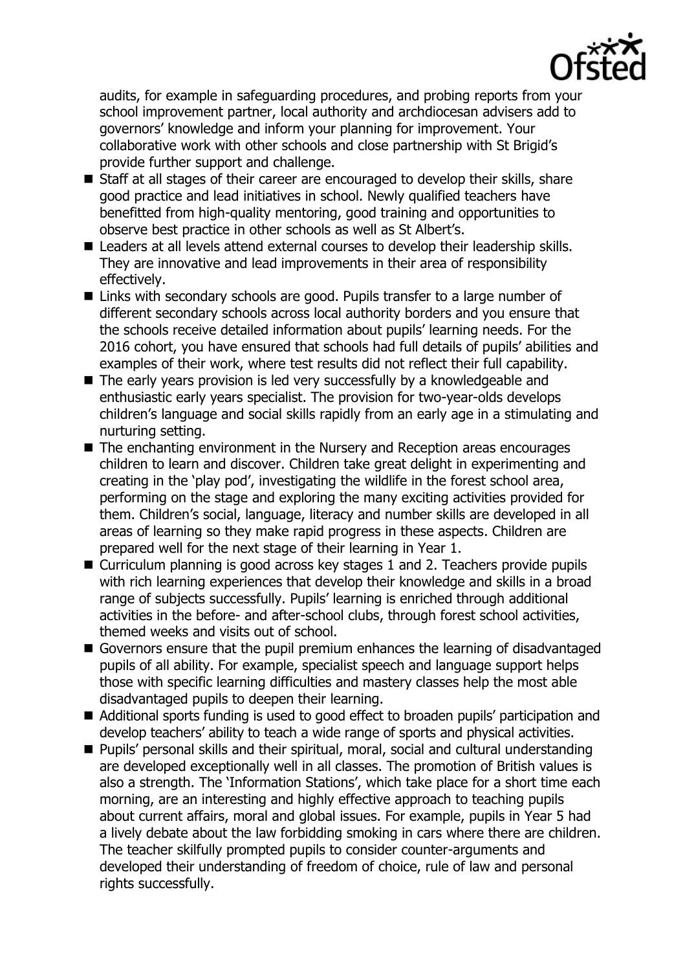

audits, for example in safeguarding procedures, and probing reports from your school improvement partner, local authority and archdiocesan advisers add to governors' knowledge and inform your planning for improvement. Your collaborative work with other schools and close partnership with St Brigid's provide further support and challenge.

- Staff at all stages of their career are encouraged to develop their skills, share good practice and lead initiatives in school. Newly qualified teachers have benefitted from high-quality mentoring, good training and opportunities to observe best practice in other schools as well as St Albert's.
- Leaders at all levels attend external courses to develop their leadership skills. They are innovative and lead improvements in their area of responsibility effectively.
- Links with secondary schools are good. Pupils transfer to a large number of different secondary schools across local authority borders and you ensure that the schools receive detailed information about pupils' learning needs. For the 2016 cohort, you have ensured that schools had full details of pupils' abilities and examples of their work, where test results did not reflect their full capability.
- The early years provision is led very successfully by a knowledgeable and enthusiastic early years specialist. The provision for two-year-olds develops children's language and social skills rapidly from an early age in a stimulating and nurturing setting.
- The enchanting environment in the Nursery and Reception areas encourages children to learn and discover. Children take great delight in experimenting and creating in the 'play pod', investigating the wildlife in the forest school area, performing on the stage and exploring the many exciting activities provided for them. Children's social, language, literacy and number skills are developed in all areas of learning so they make rapid progress in these aspects. Children are prepared well for the next stage of their learning in Year 1.
- Curriculum planning is good across key stages 1 and 2. Teachers provide pupils with rich learning experiences that develop their knowledge and skills in a broad range of subjects successfully. Pupils' learning is enriched through additional activities in the before- and after-school clubs, through forest school activities, themed weeks and visits out of school.
- Governors ensure that the pupil premium enhances the learning of disadvantaged pupils of all ability. For example, specialist speech and language support helps those with specific learning difficulties and mastery classes help the most able disadvantaged pupils to deepen their learning.
- Additional sports funding is used to good effect to broaden pupils' participation and develop teachers' ability to teach a wide range of sports and physical activities.
- Pupils' personal skills and their spiritual, moral, social and cultural understanding are developed exceptionally well in all classes. The promotion of British values is also a strength. The 'Information Stations', which take place for a short time each morning, are an interesting and highly effective approach to teaching pupils about current affairs, moral and global issues. For example, pupils in Year 5 had a lively debate about the law forbidding smoking in cars where there are children. The teacher skilfully prompted pupils to consider counter-arguments and developed their understanding of freedom of choice, rule of law and personal rights successfully.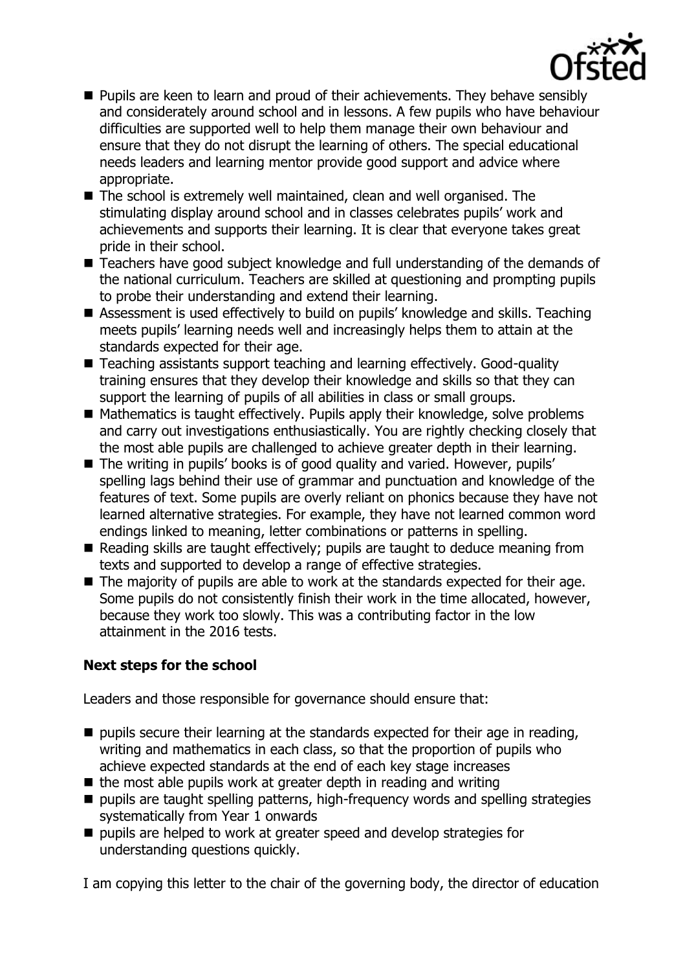

- **Pupils are keen to learn and proud of their achievements. They behave sensibly** and considerately around school and in lessons. A few pupils who have behaviour difficulties are supported well to help them manage their own behaviour and ensure that they do not disrupt the learning of others. The special educational needs leaders and learning mentor provide good support and advice where appropriate.
- The school is extremely well maintained, clean and well organised. The stimulating display around school and in classes celebrates pupils' work and achievements and supports their learning. It is clear that everyone takes great pride in their school.
- Teachers have good subject knowledge and full understanding of the demands of the national curriculum. Teachers are skilled at questioning and prompting pupils to probe their understanding and extend their learning.
- Assessment is used effectively to build on pupils' knowledge and skills. Teaching meets pupils' learning needs well and increasingly helps them to attain at the standards expected for their age.
- Teaching assistants support teaching and learning effectively. Good-quality training ensures that they develop their knowledge and skills so that they can support the learning of pupils of all abilities in class or small groups.
- $\blacksquare$  Mathematics is taught effectively. Pupils apply their knowledge, solve problems and carry out investigations enthusiastically. You are rightly checking closely that the most able pupils are challenged to achieve greater depth in their learning.
- The writing in pupils' books is of good quality and varied. However, pupils' spelling lags behind their use of grammar and punctuation and knowledge of the features of text. Some pupils are overly reliant on phonics because they have not learned alternative strategies. For example, they have not learned common word endings linked to meaning, letter combinations or patterns in spelling.
- Reading skills are taught effectively; pupils are taught to deduce meaning from texts and supported to develop a range of effective strategies.
- $\blacksquare$  The majority of pupils are able to work at the standards expected for their age. Some pupils do not consistently finish their work in the time allocated, however, because they work too slowly. This was a contributing factor in the low attainment in the 2016 tests.

# **Next steps for the school**

Leaders and those responsible for governance should ensure that:

- $\blacksquare$  pupils secure their learning at the standards expected for their age in reading, writing and mathematics in each class, so that the proportion of pupils who achieve expected standards at the end of each key stage increases
- $\blacksquare$  the most able pupils work at greater depth in reading and writing
- $\blacksquare$  pupils are taught spelling patterns, high-frequency words and spelling strategies systematically from Year 1 onwards
- pupils are helped to work at greater speed and develop strategies for understanding questions quickly.

I am copying this letter to the chair of the governing body, the director of education